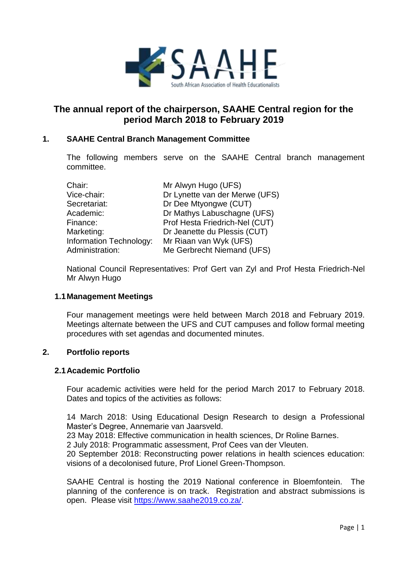

# **The annual report of the chairperson, SAAHE Central region for the period March 2018 to February 2019**

## **1. SAAHE Central Branch Management Committee**

The following members serve on the SAAHE Central branch management committee.

| Chair:                  | Mr Alwyn Hugo (UFS)            |
|-------------------------|--------------------------------|
| Vice-chair:             | Dr Lynette van der Merwe (UFS) |
| Secretariat:            | Dr Dee Mtyongwe (CUT)          |
| Academic:               | Dr Mathys Labuschagne (UFS)    |
| Finance:                | Prof Hesta Friedrich-Nel (CUT) |
| Marketing:              | Dr Jeanette du Plessis (CUT)   |
| Information Technology: | Mr Riaan van Wyk (UFS)         |
| Administration:         | Me Gerbrecht Niemand (UFS)     |

National Council Representatives: Prof Gert van Zyl and Prof Hesta Friedrich-Nel Mr Alwyn Hugo

## **1.1Management Meetings**

Four management meetings were held between March 2018 and February 2019. Meetings alternate between the UFS and CUT campuses and follow formal meeting procedures with set agendas and documented minutes.

## **2. Portfolio reports**

## **2.1Academic Portfolio**

Four academic activities were held for the period March 2017 to February 2018. Dates and topics of the activities as follows:

14 March 2018: Using Educational Design Research to design a Professional Master's Degree, Annemarie van Jaarsveld.

23 May 2018: Effective communication in health sciences, Dr Roline Barnes.

2 July 2018: Programmatic assessment, Prof Cees van der Vleuten.

20 September 2018: Reconstructing power relations in health sciences education: visions of a decolonised future, Prof Lionel Green-Thompson.

SAAHE Central is hosting the 2019 National conference in Bloemfontein. The planning of the conference is on track. Registration and abstract submissions is open. Please visit [https://www.saahe2019.co.za/.](https://www.saahe2019.co.za/)